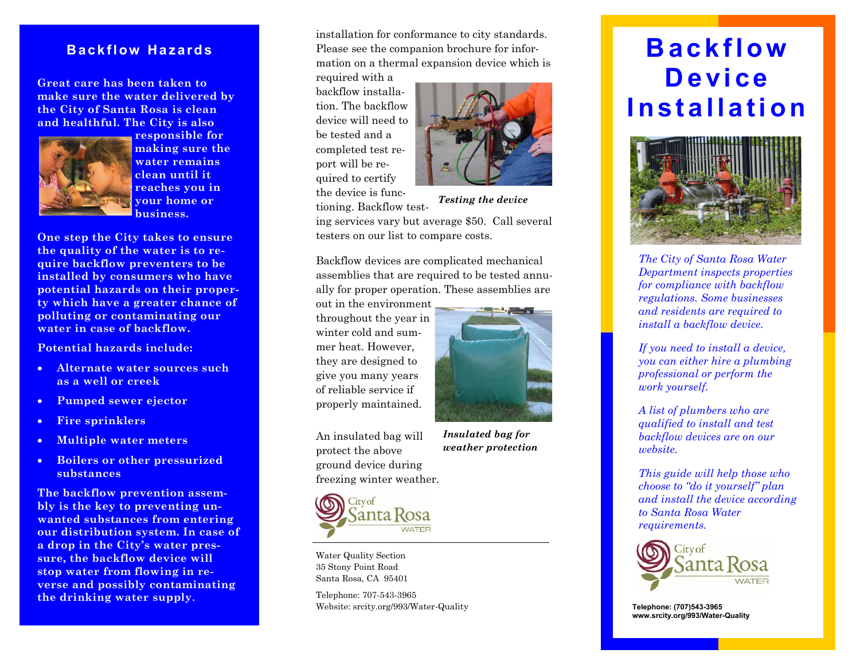## **Backflow Hazards**

**Great care has been taken to make sure the water delivered by the City of Santa Rosa is clean and healthful. The City is also**



**responsible for making sure the water remains clean until it reaches you in your home or business.**

**One step the City takes to ensure the quality of the water is to require backflow preventers to be installed by consumers who have potential hazards on their property which have a greater chance of polluting or contaminating our water in case of backflow.**

**Potential hazards include:**

- **Alternate water sources such as a well or creek**
- **Pumped sewer ejector**
- **Fire sprinklers**
- **Multiple water meters**
- **Boilers or other pressurized substances**

**The backflow prevention assembly is the key to preventing unwanted substances from entering our distribution system. In case of a drop in the City's water pressure, the backflow device will stop water from flowing in reverse and possibly contaminating the drinking water supply.** 

installation for conformance to city standards. Please see the companion brochure for information on a thermal expansion device which is

required with a backflow installation. The backflow device will need to be tested and a completed test report will be required to certify the device is functioning. Backflow test-



*Testing the device* 

ing services vary but average \$50. Call several testers on our list to compare costs.

Backflow devices are complicated mechanical assemblies that are required to be tested annually for proper operation. These assemblies are

out in the environment throughout the year in winter cold and summer heat. However, they are designed to give you many years of reliable service if properly maintained.



An insulated bag will protect the above ground device during freezing winter weather.





Water Quality Section 35 Stony Point Road Santa Rosa, CA 95401

Telephone: 707-543-3965 Website: srcity.org/993/Water-Quality

# **B a c k f l ow D e v i c e I n st a l l at i o n**



*The City of Santa Rosa Water Department inspects properties for compliance with backflow regulations. Some businesses and residents are required to install a backflow device.* 

*If you need to install a device, you can either hire a plumbing professional or perform the work yourself.* 

*A list of plumbers who are qualified to install and test backflow devices are on our website.* 

*This guide will help those who choose to "do it yourself" plan and install the device according to Santa Rosa Water requirements.*



**Telephone: (707)543-3965 www.srcity.org/993/Water-Quality**